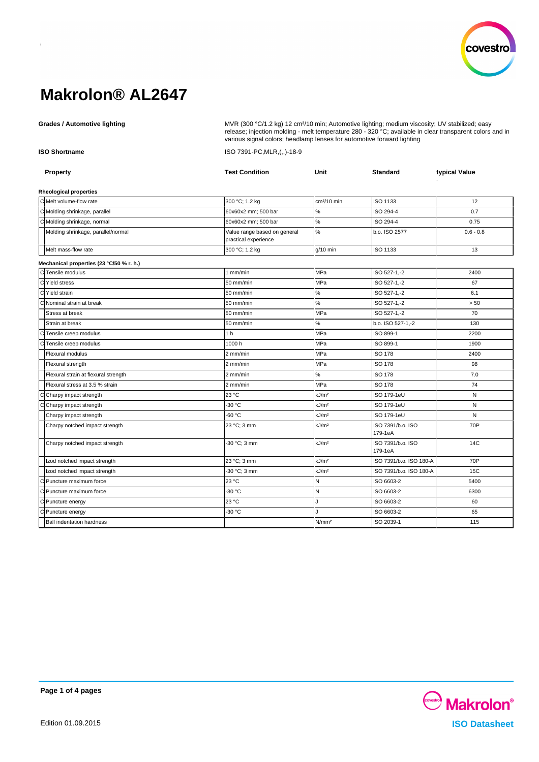

Grades / Automotive lighting **MUDICES 1998 MWR** (300 °C/1.2 kg) 12 cm<sup>3</sup>/10 min; Automotive lighting; medium viscosity; UV stabilized; easy release; injection molding - melt temperature 280 - 320 °C; available in clear transparent colors and in various signal colors; headlamp lenses for automotive forward lighting

**ISO Shortname** ISO 7391-PC,MLR,(,,)-18-9

| Property                                 | <b>Test Condition</b>                                | Unit              | <b>Standard</b>              | typical Value |
|------------------------------------------|------------------------------------------------------|-------------------|------------------------------|---------------|
| Rheological properties                   |                                                      |                   |                              |               |
| CMelt volume-flow rate                   | 300 °C; 1.2 kg                                       | $cm3/10$ min      | <b>ISO 1133</b>              | 12            |
| C Molding shrinkage, parallel            | 60x60x2 mm; 500 bar                                  | $\%$              | ISO 294-4                    | 0.7           |
| C Molding shrinkage, normal              | 60x60x2 mm; 500 bar                                  | $\%$              | ISO 294-4                    | 0.75          |
| Molding shrinkage, parallel/normal       | Value range based on general<br>practical experience | $\%$              | b.o. ISO 2577                | $0.6 - 0.8$   |
| Melt mass-flow rate                      | 300 °C; 1.2 kg                                       | $q/10$ min        | ISO 1133                     | 13            |
| Mechanical properties (23 °C/50 % r. h.) |                                                      |                   |                              |               |
| CTensile modulus                         | $1$ mm/min                                           | <b>MPa</b>        | ISO 527-1,-2                 | 2400          |
| C Yield stress                           | 50 mm/min                                            | MPa               | ISO 527-1,-2                 | 67            |
| C Yield strain                           | 50 mm/min                                            | $\%$              | ISO 527-1,-2                 | 6.1           |
| Nominal strain at break                  | 50 mm/min                                            | $\%$              | ISO 527-1,-2                 | > 50          |
| Stress at break                          | 50 mm/min                                            | MPa               | ISO 527-1,-2                 | 70            |
| Strain at break                          | 50 mm/min                                            | $\%$              | b.o. ISO 527-1,-2            | 130           |
| Tensile creep modulus                    | 1 <sub>h</sub>                                       | <b>MPa</b>        | ISO 899-1                    | 2200          |
| Tensile creep modulus                    | 1000h                                                | MPa               | ISO 899-1                    | 1900          |
| Flexural modulus                         | 2 mm/min                                             | MPa               | <b>ISO 178</b>               | 2400          |
| Flexural strength                        | 2 mm/min                                             | MPa               | <b>ISO 178</b>               | 98            |
| Flexural strain at flexural strength     | 2 mm/min                                             | %                 | <b>ISO 178</b>               | 7.0           |
| Flexural stress at 3.5 % strain          | $2$ mm/min                                           | MPa               | <b>ISO 178</b>               | 74            |
| Charpy impact strength                   | 23 °C                                                | kJ/m <sup>2</sup> | ISO 179-1eU                  | N             |
| Charpy impact strength                   | -30 °C                                               | kJ/m <sup>2</sup> | ISO 179-1eU                  | N             |
| Charpy impact strength                   | $-60 °C$                                             | kJ/m <sup>2</sup> | ISO 179-1eU                  | N             |
| Charpy notched impact strength           | 23 °C; 3 mm                                          | kJ/m <sup>2</sup> | ISO 7391/b.o. ISO<br>179-1eA | 70P           |
| Charpy notched impact strength           | -30 °C; 3 mm                                         | kJ/m <sup>2</sup> | ISO 7391/b.o. ISO<br>179-1eA | 14C           |
| Izod notched impact strength             | 23 °C; 3 mm                                          | kJ/m <sup>2</sup> | ISO 7391/b.o. ISO 180-A      | 70P           |
| Izod notched impact strength             | -30 °C; 3 mm                                         | kJ/m <sup>2</sup> | ISO 7391/b.o. ISO 180-A      | 15C           |
| Puncture maximum force                   | 23 °C                                                | N                 | ISO 6603-2                   | 5400          |
| Puncture maximum force                   | -30 °C                                               | $\mathsf{N}$      | ISO 6603-2                   | 6300          |
| C Puncture energy                        | 23 °C                                                |                   | ISO 6603-2                   | 60            |
| Puncture energy                          | -30 °C                                               |                   | ISO 6603-2                   | 65            |
| <b>Ball indentation hardness</b>         |                                                      | N/mm <sup>2</sup> | ISO 2039-1                   | 115           |

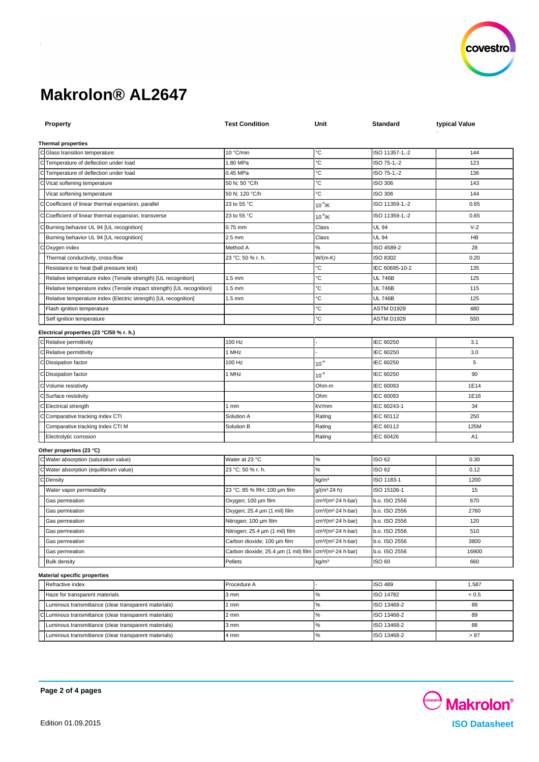

| <b>Property</b>                                                       | <b>Test Condition</b>                | Unit                                        | Standard        | typical Value  |  |  |  |
|-----------------------------------------------------------------------|--------------------------------------|---------------------------------------------|-----------------|----------------|--|--|--|
|                                                                       |                                      |                                             |                 |                |  |  |  |
| <b>Thermal properties</b><br>C Glass transition temperature           | 10 °C/min                            | °C                                          | ISO 11357-1,-2  | 144            |  |  |  |
| C Temperature of deflection under load                                | 1.80 MPa                             | °C                                          | ISO 75-1,-2     | 123            |  |  |  |
| C Temperature of deflection under load                                | 0.45 MPa                             | °С                                          | ISO 75-1,-2     | 136            |  |  |  |
| C Vicat softening temperature                                         | 50 N; 50 °C/h                        | °C                                          | <b>ISO 306</b>  | 143            |  |  |  |
| Vicat softening temperature                                           | 50 N; 120 °C/h                       | °С                                          | <b>ISO 306</b>  | 144            |  |  |  |
| C Coefficient of linear thermal expansion, parallel                   | 23 to 55 °C                          | $10^{-4}$ /K                                | ISO 11359-1,-2  | 0.65           |  |  |  |
|                                                                       |                                      |                                             |                 |                |  |  |  |
| Coefficient of linear thermal expansion, transverse<br>С              | 23 to 55 °C                          | $10^{-4}$ /K                                | ISO 11359-1,-2  | 0.65           |  |  |  |
| C Burning behavior UL 94 [UL recognition]                             | $0.75$ mm                            | Class                                       | <b>UL 94</b>    | $V-2$          |  |  |  |
| Burning behavior UL 94 [UL recognition]                               | $2.5$ mm                             | Class                                       | <b>UL 94</b>    | HB             |  |  |  |
| Oxygen index                                                          | Method A                             | %                                           | ISO 4589-2      | 28             |  |  |  |
| Thermal conductivity, cross-flow                                      | 23 °C; 50 % r. h.                    | W/(m·K)                                     | <b>ISO 8302</b> | 0.20           |  |  |  |
| Resistance to heat (ball pressure test)                               |                                      | °C                                          | IEC 60695-10-2  | 135            |  |  |  |
| Relative temperature index (Tensile strength) [UL recognition]        | $1.5 \text{ mm}$                     | °C                                          | <b>UL 746B</b>  | 125            |  |  |  |
| Relative temperature index (Tensile impact strength) [UL recognition] | $1.5 \text{ mm}$                     | °C                                          | <b>UL 746B</b>  | 115            |  |  |  |
| Relative temperature index (Electric strength) [UL recognition]       | $1.5$ mm                             | °C                                          | <b>UL 746B</b>  | 125            |  |  |  |
| Flash ignition temperature                                            |                                      | °С                                          | ASTM D1929      | 480            |  |  |  |
| Self ignition temperature                                             |                                      | °C                                          | ASTM D1929      | 550            |  |  |  |
| Electrical properties (23 °C/50 % r. h.)                              |                                      |                                             |                 |                |  |  |  |
| C Relative permittivity                                               | 100 Hz                               |                                             | IEC 60250       | 3.1            |  |  |  |
| C Relative permittivity                                               | 1 MHz                                |                                             | IEC 60250       | 3.0            |  |  |  |
| C Dissipation factor                                                  | 100 Hz                               | $10^{-4}$                                   | IEC 60250       | 5              |  |  |  |
| C Dissipation factor                                                  | 1 MHz                                | $10^{-4}$                                   | IEC 60250       | 90             |  |  |  |
| C Volume resistivity                                                  |                                      | Ohm-m                                       | IEC 60093       | 1E14           |  |  |  |
| C Surface resistivity                                                 |                                      | Ohm                                         | IEC 60093       | 1E16           |  |  |  |
| C Electrical strength                                                 | 1mm                                  | kV/mm                                       | IEC 60243-1     | 34             |  |  |  |
| C Comparative tracking index CTI                                      | Solution A                           | Rating                                      | IEC 60112       | 250            |  |  |  |
| Comparative tracking index CTI M                                      | Solution B                           | Rating                                      | IEC 60112       | 125M           |  |  |  |
| Electrolytic corrosion                                                |                                      | Rating                                      | IEC 60426       | A <sub>1</sub> |  |  |  |
| Other properties (23 °C)                                              |                                      |                                             |                 |                |  |  |  |
| C Water absorption (saturation value)                                 | Water at 23 °C                       | $\%$                                        | ISO 62          | 0.30           |  |  |  |
| C Water absorption (equilibrium value)                                | 23 °C; 50 % r. h.                    | %                                           | ISO 62          | 0.12           |  |  |  |
| C Density                                                             |                                      | kg/m <sup>3</sup>                           | ISO 1183-1      | 1200           |  |  |  |
| Water vapor permeability                                              | 23 °C; 85 % RH; 100 µm film          | $g/(m^2.24 h)$                              | ISO 15106-1     | 15             |  |  |  |
| Gas permeation                                                        | Oxygen; 100 µm film                  | cm3/(m2 24 h bar)                           | b.o. ISO 2556   | 670            |  |  |  |
| Gas permeation                                                        | Oxygen; 25.4 µm (1 mil) film         | cm <sup>3</sup> /(m <sup>2</sup> -24 h-bar) | b.o. ISO 2556   | 2760           |  |  |  |
| Gas permeation                                                        | Nitrogen; 100 µm film                | cm <sup>3</sup> /(m <sup>2</sup> -24 h-bar) | b.o. ISO 2556   | 120            |  |  |  |
| Gas permeation                                                        | Nitrogen; 25.4 µm (1 mil) film       | cm <sup>3</sup> /(m <sup>2</sup> -24 h-bar) | b.o. ISO 2556   | 510            |  |  |  |
| Gas permeation                                                        | Carbon dioxide; 100 um film          | cm <sup>3</sup> /(m <sup>2</sup> -24 h-bar) | b.o. ISO 2556   | 3800           |  |  |  |
| Gas permeation                                                        | Carbon dioxide; 25.4 um (1 mil) film | cm <sup>3</sup> /(m <sup>2</sup> -24 h-bar) | b.o. ISO 2556   | 16900          |  |  |  |
| <b>Bulk density</b>                                                   | Pellets                              | kg/m <sup>3</sup>                           | ISO 60          | 660            |  |  |  |
| <b>Material specific properties</b>                                   |                                      |                                             |                 |                |  |  |  |
| Refractive index                                                      | Procedure A                          |                                             | <b>ISO 489</b>  | 1.587          |  |  |  |
| Haze for transparent materials                                        | 3 mm                                 | ℅                                           | ISO 14782       | < 0.5          |  |  |  |
| Luminous transmittance (clear transparent materials)                  | 1 mm                                 | ℅                                           | ISO 13468-2     | 89             |  |  |  |
| Luminous transmittance (clear transparent materials)<br>С             | 2 <sub>mm</sub>                      | ℅                                           | ISO 13468-2     | 89             |  |  |  |
| Luminous transmittance (clear transparent materials)                  | 3 mm                                 | ℅                                           | ISO 13468-2     | 88             |  |  |  |
| Luminous transmittance (clear transparent materials)                  | 4 mm                                 | %                                           | ISO 13468-2     | > 87           |  |  |  |
|                                                                       |                                      |                                             |                 |                |  |  |  |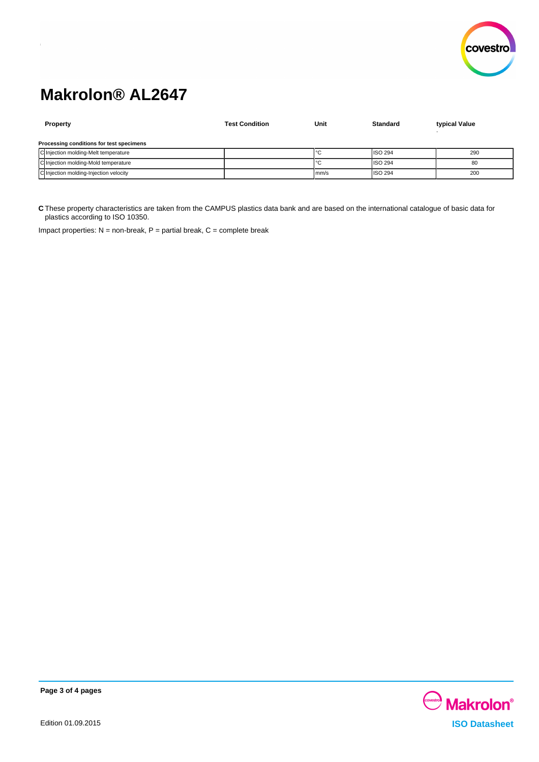

| Property                                 | <b>Test Condition</b> | Unit | Standard       | typical Value |  |
|------------------------------------------|-----------------------|------|----------------|---------------|--|
| Processing conditions for test specimens |                       |      |                |               |  |
| C Injection molding-Melt temperature     |                       |      | <b>ISO 294</b> | 290           |  |
| C Injection molding-Mold temperature     |                       |      | <b>ISO 294</b> | 80            |  |
| C Injection molding-Injection velocity   |                       | mm/s | <b>ISO 294</b> | 200           |  |

**C** These property characteristics are taken from the CAMPUS plastics data bank and are based on the international catalogue of basic data for plastics according to ISO 10350.

Impact properties:  $N =$  non-break,  $P =$  partial break,  $C =$  complete break



**Page 3 of 4 pages**